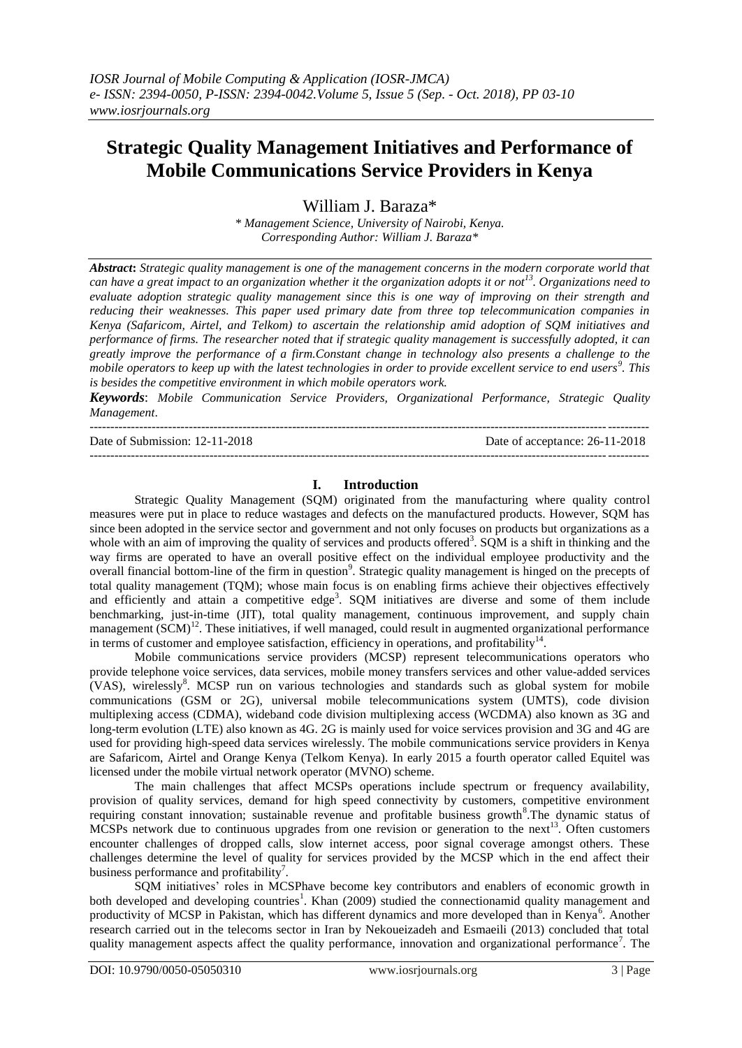# **Strategic Quality Management Initiatives and Performance of Mobile Communications Service Providers in Kenya**

William J. Baraza\*

*\* Management Science, University of Nairobi, Kenya. Corresponding Author: William J. Baraza\**

*Abstract***:** *Strategic quality management is one of the management concerns in the modern corporate world that can have a great impact to an organization whether it the organization adopts it or not<sup>13</sup>. Organizations need to evaluate adoption strategic quality management since this is one way of improving on their strength and reducing their weaknesses. This paper used primary date from three top telecommunication companies in Kenya (Safaricom, Airtel, and Telkom) to ascertain the relationship amid adoption of SQM initiatives and performance of firms. The researcher noted that if strategic quality management is successfully adopted, it can greatly improve the performance of a firm.Constant change in technology also presents a challenge to the mobile operators to keep up with the latest technologies in order to provide excellent service to end users<sup>9</sup> . This is besides the competitive environment in which mobile operators work.*

*Keywords*: *Mobile Communication Service Providers, Organizational Performance, Strategic Quality Management*.

---------------------------------------------------------------------------------------------------------------------------------------

---------------------------------------------------------------------------------------------------------------------------------------

Date of Submission: 12-11-2018 Date of acceptance: 26-11-2018

### **I. Introduction**

Strategic Quality Management (SQM) originated from the manufacturing where quality control measures were put in place to reduce wastages and defects on the manufactured products. However, SQM has since been adopted in the service sector and government and not only focuses on products but organizations as a whole with an aim of improving the quality of services and products offered<sup>3</sup>. SQM is a shift in thinking and the way firms are operated to have an overall positive effect on the individual employee productivity and the overall financial bottom-line of the firm in question<sup>9</sup>. Strategic quality management is hinged on the precepts of total quality management (TQM); whose main focus is on enabling firms achieve their objectives effectively and efficiently and attain a competitive edge<sup>3</sup>. SQM initiatives are diverse and some of them include benchmarking, just-in-time (JIT), total quality management, continuous improvement, and supply chain management  $(SCM)^{12}$ . These initiatives, if well managed, could result in augmented organizational performance in terms of customer and employee satisfaction, efficiency in operations, and profitability<sup>14</sup>.

Mobile communications service providers (MCSP) represent telecommunications operators who provide telephone voice services, data services, mobile money transfers services and other value-added services (VAS), wirelessly<sup>8</sup>. MCSP run on various technologies and standards such as global system for mobile communications (GSM or 2G), universal mobile telecommunications system (UMTS), code division multiplexing access (CDMA), wideband code division multiplexing access (WCDMA) also known as 3G and long-term evolution (LTE) also known as 4G. 2G is mainly used for voice services provision and 3G and 4G are used for providing high-speed data services wirelessly. The mobile communications service providers in Kenya are Safaricom, Airtel and Orange Kenya (Telkom Kenya). In early 2015 a fourth operator called Equitel was licensed under the mobile virtual network operator (MVNO) scheme.

The main challenges that affect MCSPs operations include spectrum or frequency availability, provision of quality services, demand for high speed connectivity by customers, competitive environment requiring constant innovation; sustainable revenue and profitable business growth<sup>8</sup>. The dynamic status of MCSPs network due to continuous upgrades from one revision or generation to the next<sup>13</sup>. Often customers encounter challenges of dropped calls, slow internet access, poor signal coverage amongst others. These challenges determine the level of quality for services provided by the MCSP which in the end affect their business performance and profitability<sup>7</sup>.

SQM initiatives' roles in MCSPhave become key contributors and enablers of economic growth in both developed and developing countries<sup>1</sup>. Khan (2009) studied the connectionamid quality management and productivity of MCSP in Pakistan, which has different dynamics and more developed than in Kenya<sup>6</sup>. Another research carried out in the telecoms sector in Iran by Nekoueizadeh and Esmaeili (2013) concluded that total quality management aspects affect the quality performance, innovation and organizational performance<sup>7</sup>. The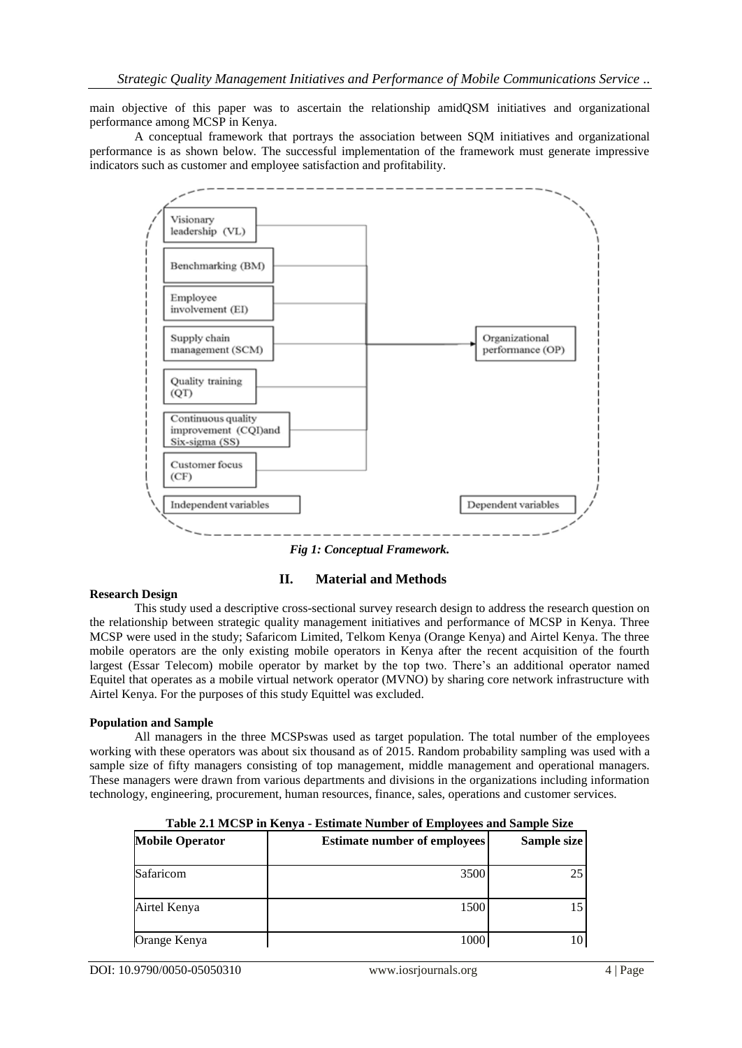main objective of this paper was to ascertain the relationship amidQSM initiatives and organizational performance among MCSP in Kenya.

A conceptual framework that portrays the association between SQM initiatives and organizational performance is as shown below. The successful implementation of the framework must generate impressive indicators such as customer and employee satisfaction and profitability.



*Fig 1: Conceptual Framework.*

# **II. Material and Methods**

#### **Research Design**

This study used a descriptive cross-sectional survey research design to address the research question on the relationship between strategic quality management initiatives and performance of MCSP in Kenya. Three MCSP were used in the study; Safaricom Limited, Telkom Kenya (Orange Kenya) and Airtel Kenya. The three mobile operators are the only existing mobile operators in Kenya after the recent acquisition of the fourth largest (Essar Telecom) mobile operator by market by the top two. There's an additional operator named Equitel that operates as a mobile virtual network operator (MVNO) by sharing core network infrastructure with Airtel Kenya. For the purposes of this study Equittel was excluded.

#### **Population and Sample**

All managers in the three MCSPswas used as target population. The total number of the employees working with these operators was about six thousand as of 2015. Random probability sampling was used with a sample size of fifty managers consisting of top management, middle management and operational managers. These managers were drawn from various departments and divisions in the organizations including information technology, engineering, procurement, human resources, finance, sales, operations and customer services.

| Table 2.1 MCST In Renya - Estimate Number of Employees and Sample Size |                                     |             |  |
|------------------------------------------------------------------------|-------------------------------------|-------------|--|
| <b>Mobile Operator</b>                                                 | <b>Estimate number of employees</b> | Sample size |  |
| Safaricom                                                              | 3500                                |             |  |
| Airtel Kenya                                                           | 1500                                |             |  |
| Orange Kenya                                                           | 1000                                |             |  |

**Table 2.1 MCSP in Kenya - Estimate Number of Employees and Sample Size**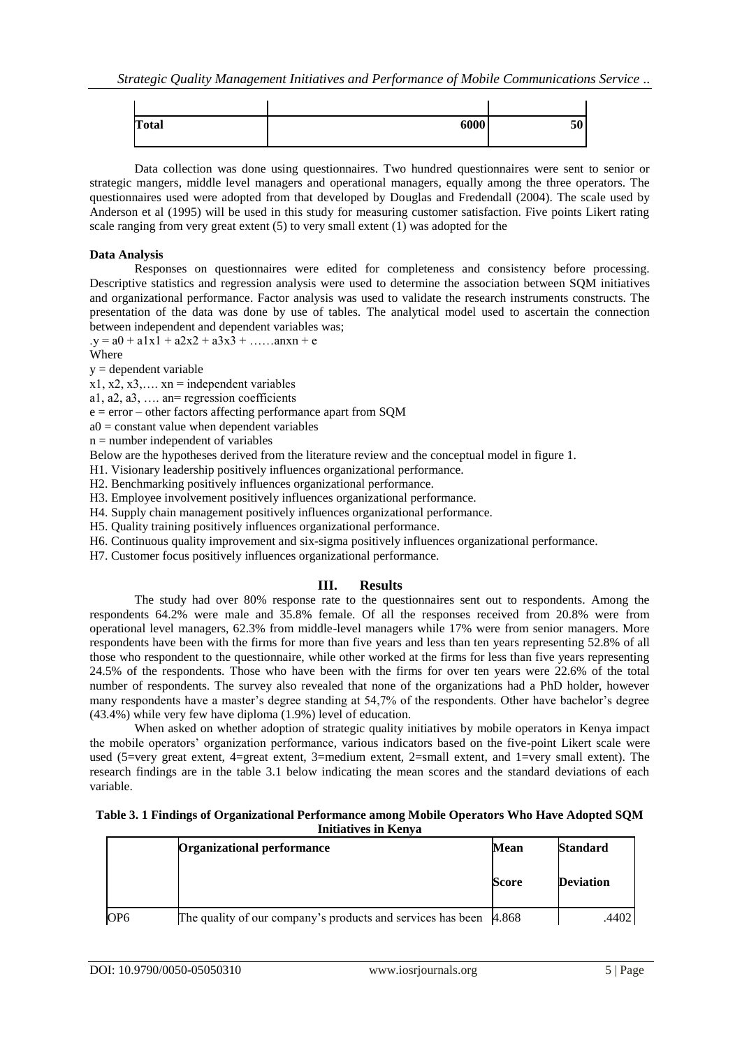| <b>Total</b> | 6000 | EΛ<br>ЭV |
|--------------|------|----------|

Data collection was done using questionnaires. Two hundred questionnaires were sent to senior or strategic mangers, middle level managers and operational managers, equally among the three operators. The questionnaires used were adopted from that developed by Douglas and Fredendall (2004). The scale used by Anderson et al (1995) will be used in this study for measuring customer satisfaction. Five points Likert rating scale ranging from very great extent (5) to very small extent (1) was adopted for the

#### **Data Analysis**

Responses on questionnaires were edited for completeness and consistency before processing. Descriptive statistics and regression analysis were used to determine the association between SQM initiatives and organizational performance. Factor analysis was used to validate the research instruments constructs. The presentation of the data was done by use of tables. The analytical model used to ascertain the connection between independent and dependent variables was;

 $y = a0 + a1x1 + a2x2 + a3x3 + \dots$  and  $x + e$ 

Where

 $y =$  dependent variable

 $x1, x2, x3, \ldots$  xn = independent variables

a1, a2, a3, …. an= regression coefficients

 $e = error - other factors affecting performance apart from SOM$ 

 $a0 = constant$  value when dependent variables

 $n =$  number independent of variables

Below are the hypotheses derived from the literature review and the conceptual model in figure 1.

H1. Visionary leadership positively influences organizational performance.

H2. Benchmarking positively influences organizational performance.

H3. Employee involvement positively influences organizational performance.

H4. Supply chain management positively influences organizational performance.

H5. Quality training positively influences organizational performance.

H6. Continuous quality improvement and six-sigma positively influences organizational performance.

H7. Customer focus positively influences organizational performance.

# **III. Results**

The study had over 80% response rate to the questionnaires sent out to respondents. Among the respondents 64.2% were male and 35.8% female. Of all the responses received from 20.8% were from operational level managers, 62.3% from middle-level managers while 17% were from senior managers. More respondents have been with the firms for more than five years and less than ten years representing 52.8% of all those who respondent to the questionnaire, while other worked at the firms for less than five years representing 24.5% of the respondents. Those who have been with the firms for over ten years were 22.6% of the total number of respondents. The survey also revealed that none of the organizations had a PhD holder, however many respondents have a master's degree standing at 54,7% of the respondents. Other have bachelor's degree (43.4%) while very few have diploma (1.9%) level of education.

When asked on whether adoption of strategic quality initiatives by mobile operators in Kenya impact the mobile operators' organization performance, various indicators based on the five-point Likert scale were used (5=very great extent, 4=great extent, 3=medium extent, 2=small extent, and 1=very small extent). The research findings are in the table 3.1 below indicating the mean scores and the standard deviations of each variable.

| Table 3. 1 Findings of Organizational Performance among Mobile Operators Who Have Adopted SQM |  |
|-----------------------------------------------------------------------------------------------|--|
| Initiatives in Kenya                                                                          |  |

|                 | <b>Organizational performance</b><br>Mean                                       |       | <b>Standard</b>  |
|-----------------|---------------------------------------------------------------------------------|-------|------------------|
|                 |                                                                                 | Score | <b>Deviation</b> |
| OP <sub>6</sub> | The quality of our company's products and services has been $\vert 4.868 \vert$ |       | .4402            |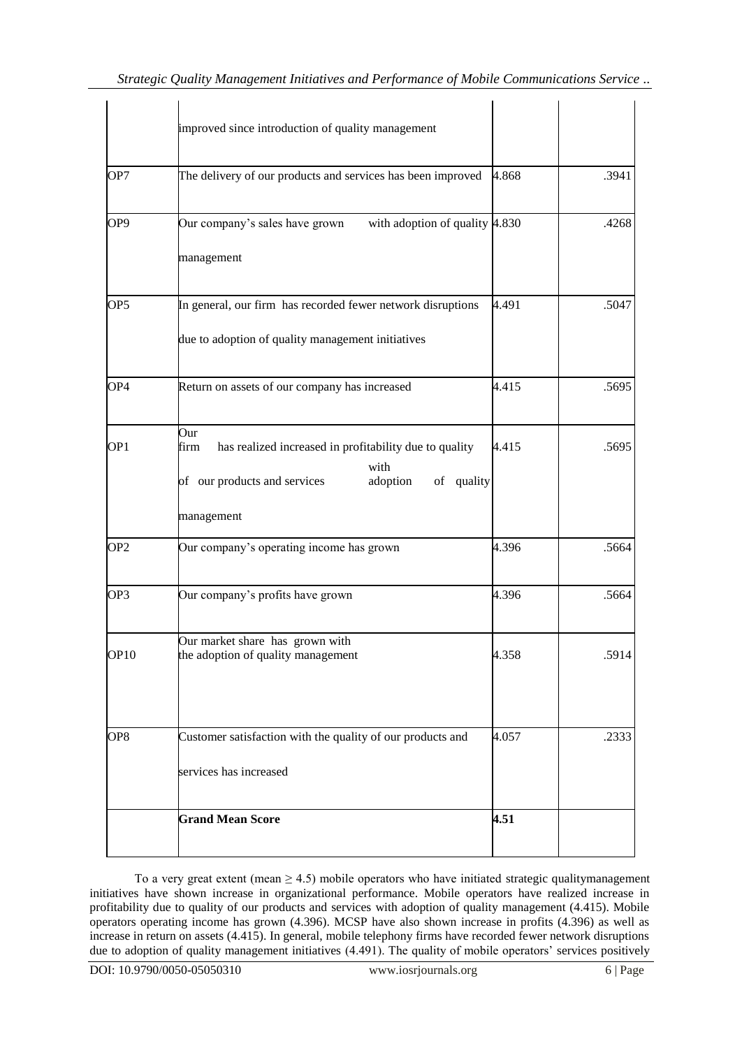|                  | improved since introduction of quality management                                                                                                     |       |       |
|------------------|-------------------------------------------------------------------------------------------------------------------------------------------------------|-------|-------|
| OP7              | The delivery of our products and services has been improved 4.868                                                                                     |       | .3941 |
| OP9              | with adoption of quality 4.830<br>Our company's sales have grown<br>management                                                                        |       | .4268 |
| OP <sub>5</sub>  | In general, our firm has recorded fewer network disruptions<br>due to adoption of quality management initiatives                                      | 4.491 | .5047 |
| OP <sub>4</sub>  | Return on assets of our company has increased                                                                                                         | 4.415 | .5695 |
| OP <sub>1</sub>  | Our<br>has realized increased in profitability due to quality<br>firm<br>with<br>of our products and services<br>of quality<br>adoption<br>management | 4.415 | .5695 |
| OP <sub>2</sub>  | Our company's operating income has grown                                                                                                              | 4.396 | .5664 |
| OP3              | Our company's profits have grown                                                                                                                      | 4.396 | .5664 |
| OP <sub>10</sub> | Our market share has grown with<br>the adoption of quality management                                                                                 | 4.358 | .5914 |
| OP8              | Customer satisfaction with the quality of our products and<br>services has increased                                                                  | 4.057 | .2333 |
|                  | <b>Grand Mean Score</b>                                                                                                                               | 4.51  |       |

To a very great extent (mean  $\geq$  4.5) mobile operators who have initiated strategic qualitymanagement initiatives have shown increase in organizational performance. Mobile operators have realized increase in profitability due to quality of our products and services with adoption of quality management (4.415). Mobile operators operating income has grown (4.396). MCSP have also shown increase in profits (4.396) as well as increase in return on assets (4.415). In general, mobile telephony firms have recorded fewer network disruptions due to adoption of quality management initiatives (4.491). The quality of mobile operators' services positively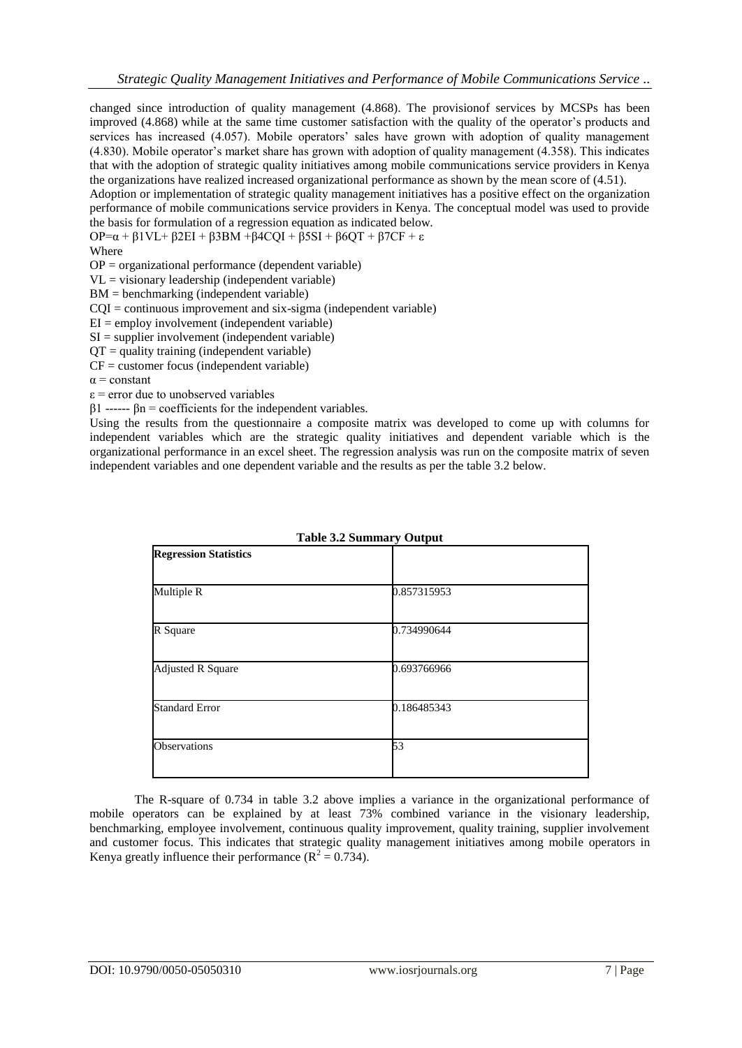changed since introduction of quality management (4.868). The provisionof services by MCSPs has been improved (4.868) while at the same time customer satisfaction with the quality of the operator's products and services has increased (4.057). Mobile operators' sales have grown with adoption of quality management (4.830). Mobile operator's market share has grown with adoption of quality management (4.358). This indicates that with the adoption of strategic quality initiatives among mobile communications service providers in Kenya the organizations have realized increased organizational performance as shown by the mean score of (4.51).

Adoption or implementation of strategic quality management initiatives has a positive effect on the organization performance of mobile communications service providers in Kenya. The conceptual model was used to provide the basis for formulation of a regression equation as indicated below.

OP=α + β1VL+ β2EI + β3BM +β4CQI + β5SI + β6QT + β7CF + ε

Where

 $OP =$  organizational performance (dependent variable)

 $VL =$  visionary leadership (independent variable)

BM = benchmarking (independent variable)

 $COI =$  continuous improvement and six-sigma (independent variable)

 $EI =$  employ involvement (independent variable)

 $SI =$  supplier involvement (independent variable)

 $\overline{OT}$  = quality training (independent variable)

 $CF = customer focus (independent variable)$ 

 $\alpha$  = constant

 $\epsilon$  = error due to unobserved variables

 $β1$  ------  $βn = coefficients for the independent variables.$ 

Using the results from the questionnaire a composite matrix was developed to come up with columns for independent variables which are the strategic quality initiatives and dependent variable which is the organizational performance in an excel sheet. The regression analysis was run on the composite matrix of seven independent variables and one dependent variable and the results as per the table 3.2 below.

|                              | Table 3.2 Summary Output |  |
|------------------------------|--------------------------|--|
| <b>Regression Statistics</b> |                          |  |
|                              |                          |  |
| Multiple R                   | 0.857315953              |  |
|                              |                          |  |
| R Square                     | 0.734990644              |  |
|                              |                          |  |
| <b>Adjusted R Square</b>     | 0.693766966              |  |
|                              |                          |  |
| <b>Standard Error</b>        | 0.186485343              |  |
|                              |                          |  |
| Observations                 | 53                       |  |
|                              |                          |  |
|                              |                          |  |

 $T_1$ ,  $T_2$ ,  $T_3$ 

The R-square of 0.734 in table 3.2 above implies a variance in the organizational performance of mobile operators can be explained by at least 73% combined variance in the visionary leadership, benchmarking, employee involvement, continuous quality improvement, quality training, supplier involvement and customer focus. This indicates that strategic quality management initiatives among mobile operators in Kenya greatly influence their performance ( $\mathbb{R}^2 = 0.734$ ).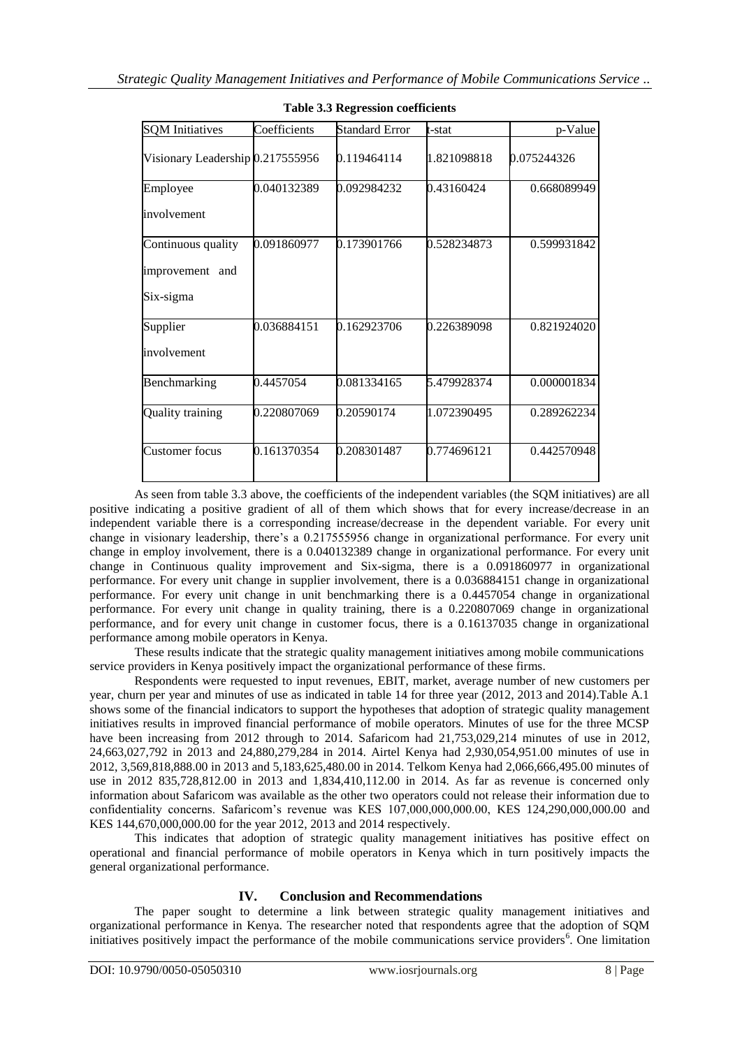| <b>SQM</b> Initiatives           | Coefficients | <b>Standard Error</b> | t-stat      | p-Value     |
|----------------------------------|--------------|-----------------------|-------------|-------------|
| Visionary Leadership 0.217555956 |              | 0.119464114           | 1.821098818 | 0.075244326 |
| Employee                         | 0.040132389  | 0.092984232           | 0.43160424  | 0.668089949 |
| involvement                      |              |                       |             |             |
| Continuous quality               | 0.091860977  | 0.173901766           | 0.528234873 | 0.599931842 |
| improvement and                  |              |                       |             |             |
| Six-sigma                        |              |                       |             |             |
| Supplier                         | 0.036884151  | 0.162923706           | 0.226389098 | 0.821924020 |
| involvement                      |              |                       |             |             |
| Benchmarking                     | 0.4457054    | 0.081334165           | 5.479928374 | 0.000001834 |
| <b>Quality training</b>          | 0.220807069  | 0.20590174            | 1.072390495 | 0.289262234 |
| <b>Customer</b> focus            | 0.161370354  | 0.208301487           | 0.774696121 | 0.442570948 |

# **Table 3.3 Regression coefficients**

As seen from table 3.3 above, the coefficients of the independent variables (the SQM initiatives) are all positive indicating a positive gradient of all of them which shows that for every increase/decrease in an independent variable there is a corresponding increase/decrease in the dependent variable. For every unit change in visionary leadership, there's a 0.217555956 change in organizational performance. For every unit change in employ involvement, there is a 0.040132389 change in organizational performance. For every unit change in Continuous quality improvement and Six-sigma, there is a 0.091860977 in organizational performance. For every unit change in supplier involvement, there is a 0.036884151 change in organizational performance. For every unit change in unit benchmarking there is a 0.4457054 change in organizational performance. For every unit change in quality training, there is a 0.220807069 change in organizational performance, and for every unit change in customer focus, there is a 0.16137035 change in organizational performance among mobile operators in Kenya.

These results indicate that the strategic quality management initiatives among mobile communications service providers in Kenya positively impact the organizational performance of these firms.

Respondents were requested to input revenues, EBIT, market, average number of new customers per year, churn per year and minutes of use as indicated in table 14 for three year (2012, 2013 and 2014).Table A.1 shows some of the financial indicators to support the hypotheses that adoption of strategic quality management initiatives results in improved financial performance of mobile operators. Minutes of use for the three MCSP have been increasing from 2012 through to 2014. Safaricom had 21,753,029,214 minutes of use in 2012, 24,663,027,792 in 2013 and 24,880,279,284 in 2014. Airtel Kenya had 2,930,054,951.00 minutes of use in 2012, 3,569,818,888.00 in 2013 and 5,183,625,480.00 in 2014. Telkom Kenya had 2,066,666,495.00 minutes of use in 2012 835,728,812.00 in 2013 and 1,834,410,112.00 in 2014. As far as revenue is concerned only information about Safaricom was available as the other two operators could not release their information due to confidentiality concerns. Safaricom's revenue was KES 107,000,000,000.00, KES 124,290,000,000.00 and KES 144,670,000,000.00 for the year 2012, 2013 and 2014 respectively.

This indicates that adoption of strategic quality management initiatives has positive effect on operational and financial performance of mobile operators in Kenya which in turn positively impacts the general organizational performance.

# **IV. Conclusion and Recommendations**

The paper sought to determine a link between strategic quality management initiatives and organizational performance in Kenya. The researcher noted that respondents agree that the adoption of SQM initiatives positively impact the performance of the mobile communications service providers<sup>6</sup>. One limitation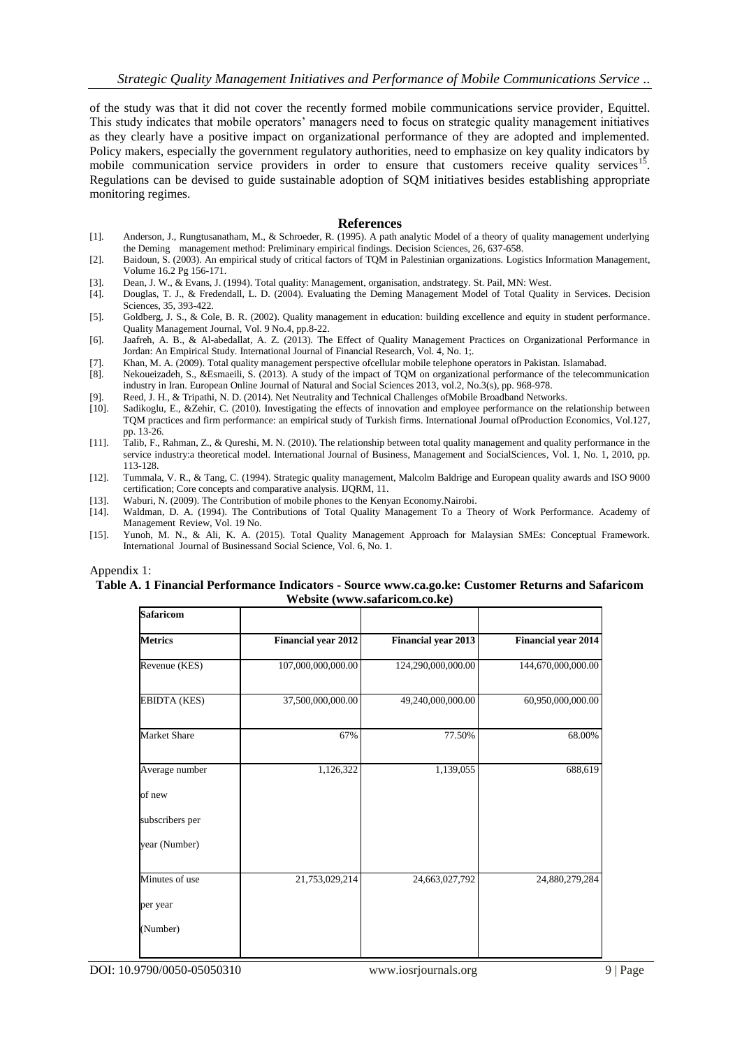of the study was that it did not cover the recently formed mobile communications service provider, Equittel. This study indicates that mobile operators' managers need to focus on strategic quality management initiatives as they clearly have a positive impact on organizational performance of they are adopted and implemented. Policy makers, especially the government regulatory authorities, need to emphasize on key quality indicators by mobile communication service providers in order to ensure that customers receive quality services<sup>15</sup>. Regulations can be devised to guide sustainable adoption of SQM initiatives besides establishing appropriate monitoring regimes.

#### **References**

- [1]. Anderson, J., Rungtusanatham, M., & Schroeder, R. (1995). A path analytic Model of a theory of quality management underlying the Deming management method: Preliminary empirical findings. Decision Sciences, 26, 637-658.
- [2]. Baidoun, S. (2003). An empirical study of critical factors of TQM in Palestinian organizations. Logistics Information Management, Volume 16.2 Pg 156-171.
- [3]. Dean, J. W., & Evans, J. (1994). Total quality: Management, organisation, andstrategy. St. Pail, MN: West.
- [4]. Douglas, T. J., & Fredendall, L. D. (2004). Evaluating the Deming Management Model of Total Quality in Services. Decision Sciences, 35, 393-422.
- [5]. Goldberg, J. S., & Cole, B. R. (2002). Quality management in education: building excellence and equity in student performance. Quality Management Journal, Vol. 9 No.4, pp.8-22.
- [6]. Jaafreh, A. B., & Al-abedallat, A. Z. (2013). The Effect of Quality Management Practices on Organizational Performance in Jordan: An Empirical Study. International Journal of Financial Research, Vol. 4, No. 1;.
- [7]. Khan, M. A. (2009). Total quality management perspective ofcellular mobile telephone operators in Pakistan. Islamabad.
- [8]. Nekoueizadeh, S., &Esmaeili, S. (2013). A study of the impact of TQM on organizational performance of the telecommunication industry in Iran. European Online Journal of Natural and Social Sciences 2013, vol.2, No.3(s), pp. 968-978.
- [9]. Reed, J. H., & Tripathi, N. D. (2014). Net Neutrality and Technical Challenges of Mobile Broadband Networks.<br>[10]. Sadikoglu. E., & Zehir. C. (2010). Investigating the effects of innovation and employee performance on
- Sadikoglu, E., &Zehir, C. (2010). Investigating the effects of innovation and employee performance on the relationship between TQM practices and firm performance: an empirical study of Turkish firms. International Journal ofProduction Economics, Vol.127, pp. 13-26.
- [11]. Talib, F., Rahman, Z., & Qureshi, M. N. (2010). The relationship between total quality management and quality performance in the service industry:a theoretical model. International Journal of Business, Management and SocialSciences, Vol. 1, No. 1, 2010, pp. 113-128.
- [12]. Tummala, V. R., & Tang, C. (1994). Strategic quality management, Malcolm Baldrige and European quality awards and ISO 9000 certification; Core concepts and comparative analysis. IJQRM, 11.
- [13]. Waburi, N. (2009). The Contribution of mobile phones to the Kenyan Economy.Nairobi.
- [14]. Waldman, D. A. (1994). The Contributions of Total Quality Management To a Theory of Work Performance. Academy of Management Review, Vol. 19 No.
- [15]. Yunoh, M. N., & Ali, K. A. (2015). Total Quality Management Approach for Malaysian SMEs: Conceptual Framework. International Journal of Businessand Social Science, Vol. 6, No. 1.

#### Appendix 1: **Table A. 1 Financial Performance Indicators - Source www.ca.go.ke: Customer Returns and Safaricom Website (www.safaricom.co.ke)**

| <b>Safaricom</b> |                            |                            |                            |
|------------------|----------------------------|----------------------------|----------------------------|
| <b>Metrics</b>   | <b>Financial year 2012</b> | <b>Financial year 2013</b> | <b>Financial year 2014</b> |
| Revenue (KES)    | 107,000,000,000.00         | 124,290,000,000.00         | 144,670,000,000.00         |
| EBIDTA (KES)     | 37,500,000,000.00          | 49,240,000,000.00          | 60,950,000,000.00          |
| Market Share     | 67%                        | 77.50%                     | 68.00%                     |
| Average number   | 1,126,322                  | 1,139,055                  | 688,619                    |
| of new           |                            |                            |                            |
| subscribers per  |                            |                            |                            |
| year (Number)    |                            |                            |                            |
| Minutes of use   | 21,753,029,214             | 24,663,027,792             | 24,880,279,284             |
| per year         |                            |                            |                            |
| (Number)         |                            |                            |                            |